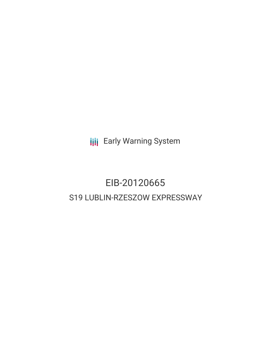**III** Early Warning System

# EIB-20120665 S19 LUBLIN-RZESZOW EXPRESSWAY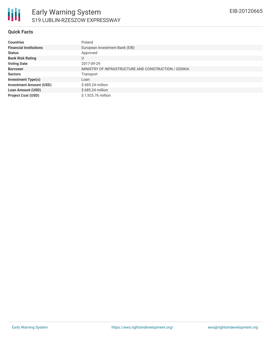

#### **Quick Facts**

| <b>Countries</b>               | Poland                                               |
|--------------------------------|------------------------------------------------------|
| <b>Financial Institutions</b>  | European Investment Bank (EIB)                       |
| <b>Status</b>                  | Approved                                             |
| <b>Bank Risk Rating</b>        | U                                                    |
| <b>Voting Date</b>             | 2017-09-29                                           |
| <b>Borrower</b>                | MINISTRY OF INFRASTRUCTURE AND CONSTRUCTION / GDDKIA |
| <b>Sectors</b>                 | Transport                                            |
| <b>Investment Type(s)</b>      | Loan                                                 |
| <b>Investment Amount (USD)</b> | \$685.24 million                                     |
| <b>Loan Amount (USD)</b>       | $$685.24$ million                                    |
| <b>Project Cost (USD)</b>      | \$1,925.76 million                                   |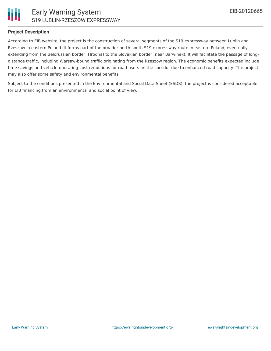

### **Project Description**

According to EIB website, the project is the construction of several segments of the S19 expressway between Lublin and Rzeszow in eastern Poland. It forms part of the broader north-south S19 expressway route in eastern Poland, eventually extending from the Belorussian border (Hrodna) to the Slovakian border (near Barwinek). It will facilitate the passage of longdistance traffic, including Warsaw-bound traffic originating from the Rzeszow region. The economic benefits expected include time savings and vehicle-operating-cost reductions for road users on the corridor due to enhanced road capacity. The project may also offer some safety and environmental benefits.

Subject to the conditions presented in the Environmental and Social Data Sheet (ESDS), the project is considered acceptable for EIB financing from an environmental and social point of view.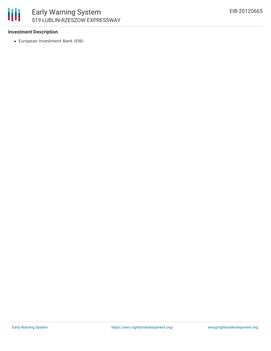

#### **Investment Description**

European Investment Bank (EIB)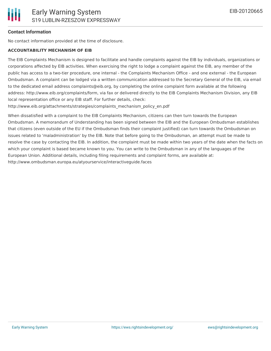### **Contact Information**

No contact information provided at the time of disclosure.

#### **ACCOUNTABILITY MECHANISM OF EIB**

The EIB Complaints Mechanism is designed to facilitate and handle complaints against the EIB by individuals, organizations or corporations affected by EIB activities. When exercising the right to lodge a complaint against the EIB, any member of the public has access to a two-tier procedure, one internal - the Complaints Mechanism Office - and one external - the European Ombudsman. A complaint can be lodged via a written communication addressed to the Secretary General of the EIB, via email to the dedicated email address complaints@eib.org, by completing the online complaint form available at the following address: http://www.eib.org/complaints/form, via fax or delivered directly to the EIB Complaints Mechanism Division, any EIB local representation office or any EIB staff. For further details, check:

http://www.eib.org/attachments/strategies/complaints\_mechanism\_policy\_en.pdf

When dissatisfied with a complaint to the EIB Complaints Mechanism, citizens can then turn towards the European Ombudsman. A memorandum of Understanding has been signed between the EIB and the European Ombudsman establishes that citizens (even outside of the EU if the Ombudsman finds their complaint justified) can turn towards the Ombudsman on issues related to 'maladministration' by the EIB. Note that before going to the Ombudsman, an attempt must be made to resolve the case by contacting the EIB. In addition, the complaint must be made within two years of the date when the facts on which your complaint is based became known to you. You can write to the Ombudsman in any of the languages of the European Union. Additional details, including filing requirements and complaint forms, are available at: http://www.ombudsman.europa.eu/atyourservice/interactiveguide.faces